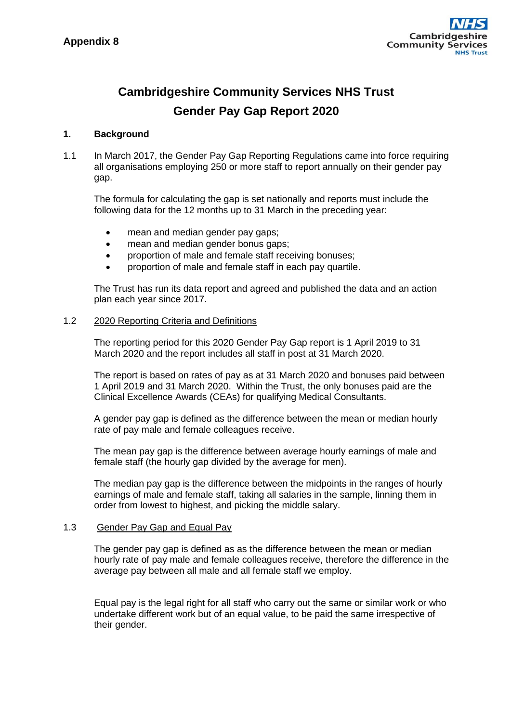

# **Cambridgeshire Community Services NHS Trust Gender Pay Gap Report 2020**

### **1. Background**

1.1 In March 2017, the Gender Pay Gap Reporting Regulations came into force requiring all organisations employing 250 or more staff to report annually on their gender pay gap.

The formula for calculating the gap is set nationally and reports must include the following data for the 12 months up to 31 March in the preceding year:

- mean and median gender pay gaps;
- mean and median gender bonus gaps;
- proportion of male and female staff receiving bonuses:
- proportion of male and female staff in each pay quartile.

The Trust has run its data report and agreed and published the data and an action plan each year since 2017.

#### 1.2 2020 Reporting Criteria and Definitions

The reporting period for this 2020 Gender Pay Gap report is 1 April 2019 to 31 March 2020 and the report includes all staff in post at 31 March 2020.

The report is based on rates of pay as at 31 March 2020 and bonuses paid between 1 April 2019 and 31 March 2020. Within the Trust, the only bonuses paid are the Clinical Excellence Awards (CEAs) for qualifying Medical Consultants.

A gender pay gap is defined as the difference between the mean or median hourly rate of pay male and female colleagues receive.

The mean pay gap is the difference between average hourly earnings of male and female staff (the hourly gap divided by the average for men).

The median pay gap is the difference between the midpoints in the ranges of hourly earnings of male and female staff, taking all salaries in the sample, linning them in order from lowest to highest, and picking the middle salary.

#### 1.3 Gender Pay Gap and Equal Pay

The gender pay gap is defined as as the difference between the mean or median hourly rate of pay male and female colleagues receive, therefore the difference in the average pay between all male and all female staff we employ.

Equal pay is the legal right for all staff who carry out the same or similar work or who undertake different work but of an equal value, to be paid the same irrespective of their gender.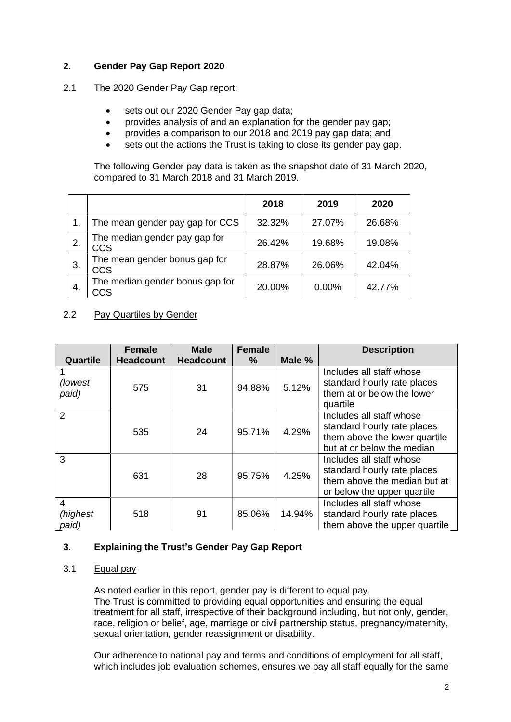# **2. Gender Pay Gap Report 2020**

- 2.1 The 2020 Gender Pay Gap report:
	- sets out our 2020 Gender Pay gap data;
	- provides analysis of and an explanation for the gender pay gap;
	- provides a comparison to our 2018 and 2019 pay gap data; and
	- sets out the actions the Trust is taking to close its gender pay gap.

The following Gender pay data is taken as the snapshot date of 31 March 2020, compared to 31 March 2018 and 31 March 2019.

|     |                                             | 2018   | 2019   | 2020   |
|-----|---------------------------------------------|--------|--------|--------|
|     | The mean gender pay gap for CCS             | 32.32% | 27.07% | 26.68% |
|     | The median gender pay gap for<br><b>CCS</b> | 26.42% | 19.68% | 19.08% |
| 3.  | The mean gender bonus gap for<br><b>CCS</b> | 28.87% | 26.06% | 42.04% |
| -4. | The median gender bonus gap for<br>CCS      | 20.00% | 0.00%  | 42.77% |

# 2.2 Pay Quartiles by Gender

| Quartile               | Female<br><b>Headcount</b> | <b>Male</b><br><b>Headcount</b> | <b>Female</b><br>$\%$ | Male % | <b>Description</b>                                                                                                     |
|------------------------|----------------------------|---------------------------------|-----------------------|--------|------------------------------------------------------------------------------------------------------------------------|
| (lowest)<br>paid)      | 575                        | 31                              | 94.88%                | 5.12%  | Includes all staff whose<br>standard hourly rate places<br>them at or below the lower<br>quartile                      |
| $\overline{2}$         | 535                        | 24                              | 95.71%                | 4.29%  | Includes all staff whose<br>standard hourly rate places<br>them above the lower quartile<br>but at or below the median |
| 3                      | 631                        | 28                              | 95.75%                | 4.25%  | Includes all staff whose<br>standard hourly rate places<br>them above the median but at<br>or below the upper quartile |
| 4<br>(highest<br>paid) | 518                        | 91                              | 85.06%                | 14.94% | Includes all staff whose<br>standard hourly rate places<br>them above the upper quartile                               |

# **3. Explaining the Trust's Gender Pay Gap Report**

# 3.1 Equal pay

As noted earlier in this report, gender pay is different to equal pay. The Trust is committed to providing equal opportunities and ensuring the equal treatment for all staff, irrespective of their background including, but not only, gender, race, religion or belief, age, marriage or civil partnership status, pregnancy/maternity, sexual orientation, gender reassignment or disability.

Our adherence to national pay and terms and conditions of employment for all staff, which includes job evaluation schemes, ensures we pay all staff equally for the same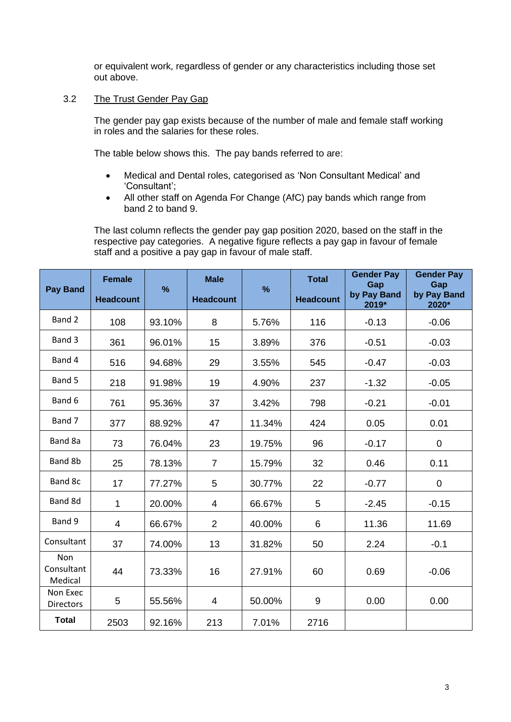or equivalent work, regardless of gender or any characteristics including those set out above.

## 3.2 The Trust Gender Pay Gap

The gender pay gap exists because of the number of male and female staff working in roles and the salaries for these roles.

The table below shows this. The pay bands referred to are:

- Medical and Dental roles, categorised as 'Non Consultant Medical' and 'Consultant';
- All other staff on Agenda For Change (AfC) pay bands which range from band 2 to band 9.

The last column reflects the gender pay gap position 2020, based on the staff in the respective pay categories. A negative figure reflects a pay gap in favour of female staff and a positive a pay gap in favour of male staff.

| <b>Pay Band</b>              | <b>Female</b>    | %      | <b>Male</b>              | %      | <b>Total</b>     | <b>Gender Pay</b><br>Gap<br>by Pay Band | <b>Gender Pay</b><br>Gap<br>by Pay Band |
|------------------------------|------------------|--------|--------------------------|--------|------------------|-----------------------------------------|-----------------------------------------|
|                              | <b>Headcount</b> |        | <b>Headcount</b>         |        | <b>Headcount</b> | 2019*                                   | 2020*                                   |
| Band 2                       | 108              | 93.10% | 8                        | 5.76%  | 116              | $-0.13$                                 | $-0.06$                                 |
| Band 3                       | 361              | 96.01% | 15                       | 3.89%  | 376              | $-0.51$                                 | $-0.03$                                 |
| Band 4                       | 516              | 94.68% | 29                       | 3.55%  | 545              | $-0.47$                                 | $-0.03$                                 |
| Band 5                       | 218              | 91.98% | 19                       | 4.90%  | 237              | $-1.32$                                 | $-0.05$                                 |
| Band 6                       | 761              | 95.36% | 37                       | 3.42%  | 798              | $-0.21$                                 | $-0.01$                                 |
| Band 7                       | 377              | 88.92% | 47                       | 11.34% | 424              | 0.05                                    | 0.01                                    |
| Band 8a                      | 73               | 76.04% | 23                       | 19.75% | 96               | $-0.17$                                 | $\mathbf 0$                             |
| Band 8b                      | 25               | 78.13% | $\overline{7}$           | 15.79% | 32               | 0.46                                    | 0.11                                    |
| Band 8c                      | 17               | 77.27% | 5                        | 30.77% | 22               | $-0.77$                                 | $\mathbf 0$                             |
| Band 8d                      | 1                | 20.00% | $\overline{\mathcal{A}}$ | 66.67% | 5                | $-2.45$                                 | $-0.15$                                 |
| Band 9                       | 4                | 66.67% | $\overline{2}$           | 40.00% | 6                | 11.36                                   | 11.69                                   |
| Consultant                   | 37               | 74.00% | 13                       | 31.82% | 50               | 2.24                                    | $-0.1$                                  |
| Non<br>Consultant<br>Medical | 44               | 73.33% | 16                       | 27.91% | 60               | 0.69                                    | $-0.06$                                 |
| Non Exec<br><b>Directors</b> | 5                | 55.56% | 4                        | 50.00% | $9\,$            | 0.00                                    | 0.00                                    |
| <b>Total</b>                 | 2503             | 92.16% | 213                      | 7.01%  | 2716             |                                         |                                         |